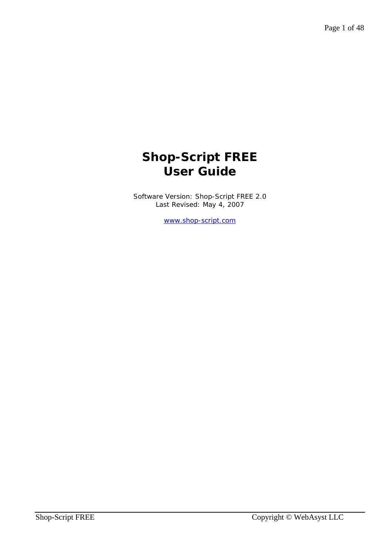# **Shop-Script FREE User Guide**

Software Version: Shop-Script FREE 2.0 Last Revised: May 4, 2007

www.shop-script.com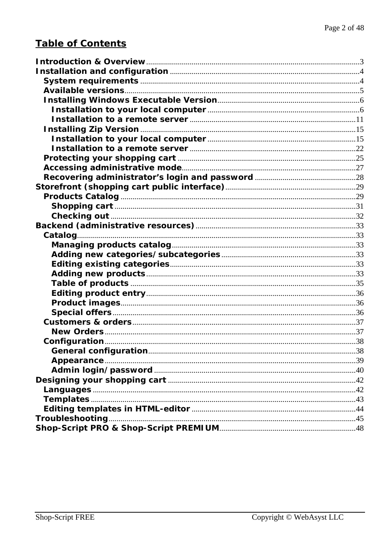# **Table of Contents**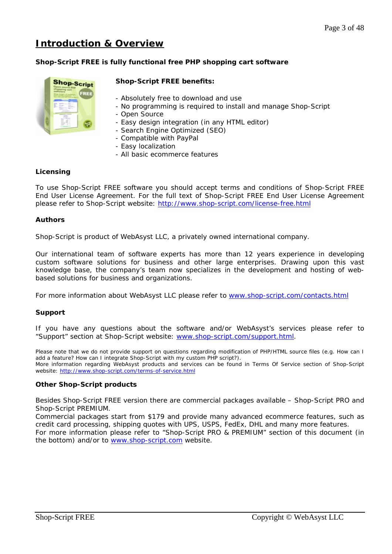# **Introduction & Overview**

## **Shop-Script FREE is fully functional free PHP shopping cart software**



## **Shop-Script FREE benefits:**

- Absolutely free to download and use
- No programming is required to install and manage Shop-Script
- Open Source
- Easy design integration (in any HTML editor)
- Search Engine Optimized (SEO)
- Compatible with PayPal
- Easy localization
- All basic ecommerce features

## **Licensing**

To use Shop-Script FREE software you should accept terms and conditions of Shop-Script FREE End User License Agreement. For the full text of Shop-Script FREE End User License Agreement please refer to Shop-Script website: http://www.shop-script.com/license-free.html

## **Authors**

Shop-Script is product of WebAsyst LLC, a privately owned international company.

Our international team of software experts has more than 12 years experience in developing custom software solutions for business and other large enterprises. Drawing upon this vast knowledge base, the company's team now specializes in the development and hosting of webbased solutions for business and organizations.

For more information about WebAsyst LLC please refer to www.shop-script.com/contacts.html

#### **Support**

If you have any questions about the software and/or WebAsyst's services please refer to "Support" section at Shop-Script website: www.shop-script.com/support.html.

Please note that we do not provide support on questions regarding modification of PHP/HTML source files (e.g. How can I add a feature? How can I integrate Shop-Script with my custom PHP script?). More information regarding WebAsyst products and services can be found in Terms Of Service section of Shop-Script website: http://www.shop-script.com/terms-of-service.html

#### **Other Shop-Script products**

Besides Shop-Script FREE version there are commercial packages available – Shop-Script PRO and Shop-Script PREMIUM.

Commercial packages start from \$179 and provide many advanced ecommerce features, such as credit card processing, shipping quotes with UPS, USPS, FedEx, DHL and many more features.

For more information please refer to "Shop-Script PRO & PREMIUM" section of this document (in the bottom) and/or to www.shop-script.com website.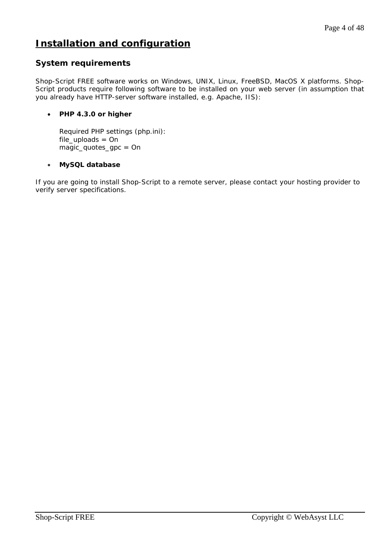# **Installation and configuration**

# **System requirements**

Shop-Script FREE software works on Windows, UNIX, Linux, FreeBSD, MacOS X platforms. Shop-Script products require following software to be installed on your web server (in assumption that you already have HTTP-server software installed, e.g. Apache, IIS):

# • **PHP 4.3.0 or higher**

Required PHP settings (php.ini): *file\_uploads = On magic\_quotes\_gpc = On* 

# • **MySQL database**

If you are going to install Shop-Script to a remote server, please contact your hosting provider to verify server specifications.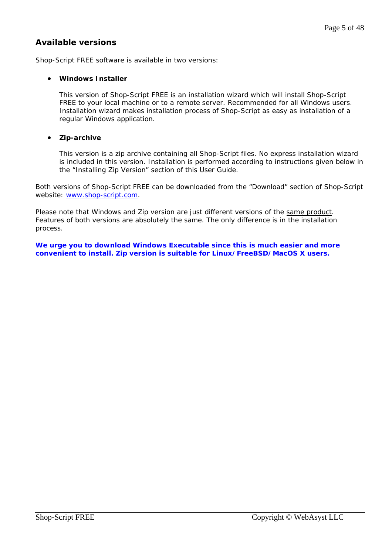# **Available versions**

Shop-Script FREE software is available in two versions:

## • **Windows Installer**

This version of Shop-Script FREE is an installation wizard which will install Shop-Script FREE to your local machine or to a remote server. Recommended for all Windows users. Installation wizard makes installation process of Shop-Script as easy as installation of a regular Windows application.

# • **Zip-archive**

This version is a zip archive containing all Shop-Script files. No express installation wizard is included in this version. Installation is performed according to instructions given below in the "Installing Zip Version" section of this User Guide.

Both versions of Shop-Script FREE can be downloaded from the "Download" section of Shop-Script website: www.shop-script.com.

Please note that Windows and Zip version are just different versions of the same product. Features of both versions are absolutely the same. The only difference is in the installation process.

**We urge you to download Windows Executable since this is much easier and more convenient to install. Zip version is suitable for Linux/FreeBSD/MacOS X users.**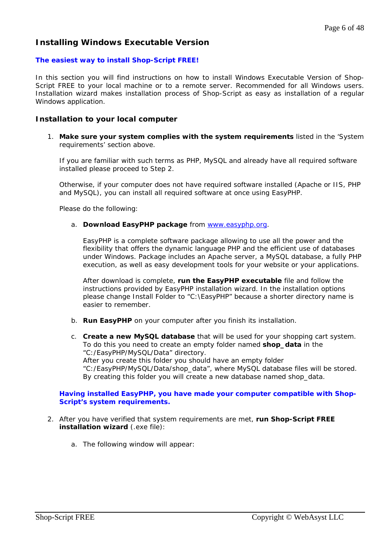# **Installing Windows Executable Version**

## **The easiest way to install Shop-Script FREE!**

In this section you will find instructions on how to install Windows Executable Version of Shop-Script FREE to your local machine or to a remote server. Recommended for all Windows users. Installation wizard makes installation process of Shop-Script as easy as installation of a regular Windows application.

## **Installation to your local computer**

1. **Make sure your system complies with the system requirements** listed in the 'System requirements' section above.

If you are familiar with such terms as PHP, MySQL and already have all required software installed please proceed to Step 2.

Otherwise, if your computer does not have required software installed (Apache or IIS, PHP and MySQL), you can install all required software at once using EasyPHP.

Please do the following:

#### a. **Download EasyPHP package** from www.easyphp.org.

EasyPHP is a complete software package allowing to use all the power and the flexibility that offers the dynamic language PHP and the efficient use of databases under Windows. Package includes an Apache server, a MySQL database, a fully PHP execution, as well as easy development tools for your website or your applications.

After download is complete, **run the EasyPHP executable** file and follow the instructions provided by EasyPHP installation wizard. In the installation options please change Install Folder to "C:\EasyPHP" because a shorter directory name is easier to remember.

- b. **Run EasyPHP** on your computer after you finish its installation.
- c. **Create a new MySQL database** that will be used for your shopping cart system. To do this you need to create an empty folder named **shop\_data** in the "C:/EasyPHP/MySQL/Data" directory. After you create this folder you should have an empty folder "C:/EasyPHP/MySQL/Data/shop\_data", where MySQL database files will be stored. By creating this folder you will create a new database named shop\_data.

#### **Having installed EasyPHP, you have made your computer compatible with Shop-Script's system requirements.**

- 2. After you have verified that system requirements are met, **run Shop-Script FREE installation wizard** (.exe file):
	- a. The following window will appear: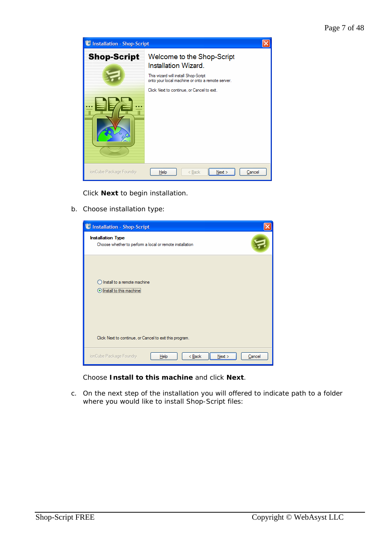

Click **Next** to begin installation.

b. Choose installation type:

| <b>U Installation - Shop-Script</b>                                                                                       |  |  |
|---------------------------------------------------------------------------------------------------------------------------|--|--|
| <b>Installation Type</b><br>Choose whether to perform a local or remote installation                                      |  |  |
| Install to a remote machine<br><b>Install to this machine!</b><br>Click Next to continue, or Cancel to exit this program. |  |  |
|                                                                                                                           |  |  |
| ionCube Package Foundry<br>$Back$<br>Next<br>Help<br>Cancel                                                               |  |  |

Choose **Install to this machine** and click **Next**.

c. On the next step of the installation you will offered to indicate path to a folder where you would like to install Shop-Script files: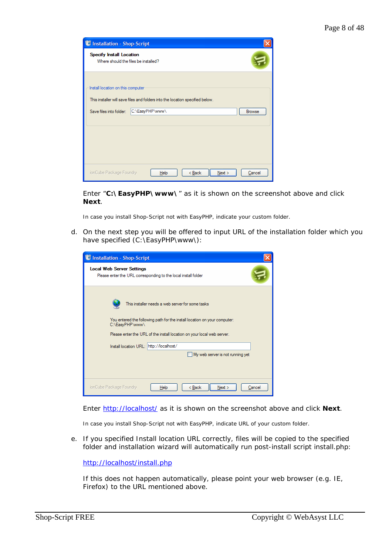| <b>U</b> Installation - Shop-Script                                     |                                                                                                  |               |
|-------------------------------------------------------------------------|--------------------------------------------------------------------------------------------------|---------------|
| <b>Specify Install Location</b><br>Where should the files be installed? |                                                                                                  |               |
| Install location on this computer<br>Save files into folder:            | This installer will save files and folders into the location specified below.<br>C:\EasyPHP\www\ | <b>Browse</b> |
|                                                                         |                                                                                                  |               |
|                                                                         |                                                                                                  |               |
|                                                                         |                                                                                                  |               |
| ionCube Package Foundry                                                 | < Back<br>Next<br>Help                                                                           | Cancel        |

Enter "**C:\EasyPHP\www\**" as it is shown on the screenshot above and click **Next**.

In case you install Shop-Script not with EasyPHP, indicate your custom folder.

d. On the next step you will be offered to input URL of the installation folder which you have specified (C:\EasyPHP\www\):

| <b>C</b> Installation - Shop-Script                                                                                                                                                                                                                                                                       |  |  |
|-----------------------------------------------------------------------------------------------------------------------------------------------------------------------------------------------------------------------------------------------------------------------------------------------------------|--|--|
| <b>Local Web Server Settings</b><br>Please enter the URL corresponding to the local install folder                                                                                                                                                                                                        |  |  |
| This installer needs a web server for some tasks<br>You entered the following path for the install location on your computer:<br>C:\EasyPHP\www\<br>Please enter the URL of the install location on your local web server.<br>Install location URL: http://localhost/<br>My web server is not running yet |  |  |
|                                                                                                                                                                                                                                                                                                           |  |  |
| ionCube Package Foundry<br>$8$ Back<br>Next<br>Help<br>Cancel                                                                                                                                                                                                                                             |  |  |

Enter http://localhost/ as it is shown on the screenshot above and click **Next**.

In case you install Shop-Script not with EasyPHP, indicate URL of your custom folder.

e. If you specified Install location URL correctly, files will be copied to the specified folder and installation wizard will automatically run post-install script install.php:

http://localhost/install.php

If this does not happen automatically, please point your web browser (e.g. IE, Firefox) to the URL mentioned above.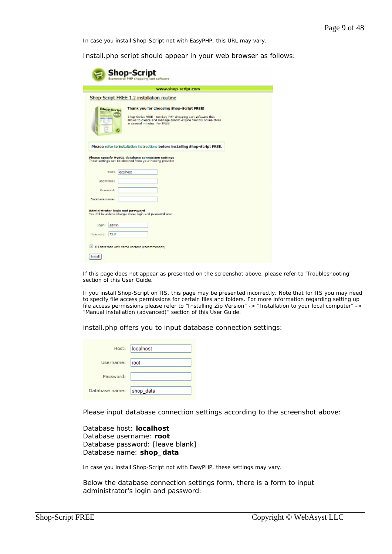In case you install Shop-Script not with EasyPHP, this URL may vary.

I

Install.php script should appear in your web browser as follows:

| <b>Shop-Script</b><br><b>Ecommerce PHP shopping cart software</b>                                                                                                                                                                      |  |  |  |
|----------------------------------------------------------------------------------------------------------------------------------------------------------------------------------------------------------------------------------------|--|--|--|
| www.shop-script.com                                                                                                                                                                                                                    |  |  |  |
| Shop-Script FREE 1.2 installation routine                                                                                                                                                                                              |  |  |  |
| Thank you for choosing Shop-Script FREE!<br><b>Shop-Script</b><br>ш<br>Shop-Script FREE - turnkey PHP shopping cart software that<br>allows to create and manage search engine friendly online store<br>in assessal minutes, For FREE! |  |  |  |
| Please refer to installation instructions before installing Shop-Script FREE.<br>Please specify NySQL database connection settings<br>These settings can be obtained from your hosting provider<br>localhost<br>Host:                  |  |  |  |
| <b>Usememer</b>                                                                                                                                                                                                                        |  |  |  |
| Password:                                                                                                                                                                                                                              |  |  |  |
| Database name:                                                                                                                                                                                                                         |  |  |  |
| Administrator login and password<br>You will be able to change these login and pessword later                                                                                                                                          |  |  |  |
| admin<br>Logina                                                                                                                                                                                                                        |  |  |  |
| 1234<br>Password:                                                                                                                                                                                                                      |  |  |  |
| Fill database with demo content (recommended)                                                                                                                                                                                          |  |  |  |
| <b>Install</b>                                                                                                                                                                                                                         |  |  |  |

If this page does not appear as presented on the screenshot above, please refer to 'Troubleshooting' section of this User Guide.

If you install Shop-Script on IIS, this page may be presented incorrectly. Note that for IIS you may need to specify file access permissions for certain files and folders. For more information regarding setting up file access permissions please refer to "Installing Zip Version" -> "Installation to your local computer" -> "Manual installation (advanced)" section of this User Guide.

install.php offers you to input database connection settings:

|                          | Host: localhost |
|--------------------------|-----------------|
| Username: root           |                 |
| Password:                |                 |
| Database name: shop_data |                 |

Please input database connection settings according to the screenshot above:

Database host: **localhost** Database username: **root** Database password: [leave blank] Database name: **shop\_data**

In case you install Shop-Script not with EasyPHP, these settings may vary.

Below the database connection settings form, there is a form to input administrator's login and password: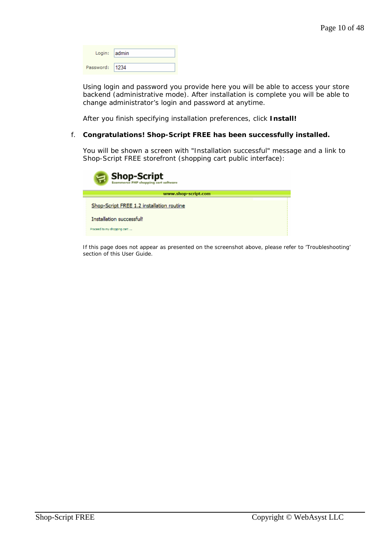| Login: admin   |  |
|----------------|--|
| Password: 1234 |  |

Using login and password you provide here you will be able to access your store backend (administrative mode). After installation is complete you will be able to change administrator's login and password at anytime.

After you finish specifying installation preferences, click **Install!**

#### f. **Congratulations! Shop-Script FREE has been successfully installed.**

You will be shown a screen with "Installation successful" message and a link to Shop-Script FREE storefront (shopping cart public interface):

| <b>Shop-Script</b><br>$\Xi$<br><b>Ecommerce PHP shopping cart software</b> |  |  |
|----------------------------------------------------------------------------|--|--|
| www.shop-script.com                                                        |  |  |
| Shop-Script FREE 1.2 installation routine                                  |  |  |
| Installation successful!                                                   |  |  |
| Proceed to my shopping cart                                                |  |  |

If this page does not appear as presented on the screenshot above, please refer to 'Troubleshooting' section of this User Guide.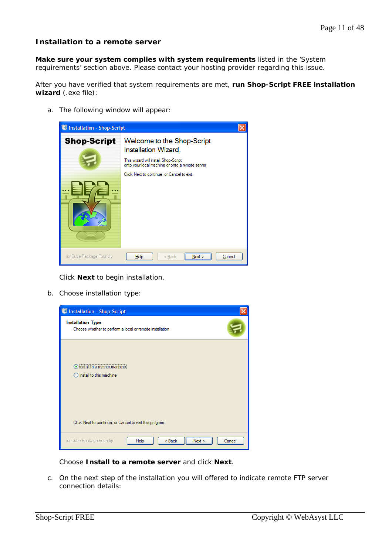# **Installation to a remote server**

**Make sure your system complies with system requirements** listed in the 'System requirements' section above. Please contact your hosting provider regarding this issue.

After you have verified that system requirements are met, **run Shop-Script FREE installation wizard** (.exe file):

a. The following window will appear:



Click **Next** to begin installation.

b. Choose installation type:



Choose **Install to a remote server** and click **Next**.

c. On the next step of the installation you will offered to indicate remote FTP server connection details: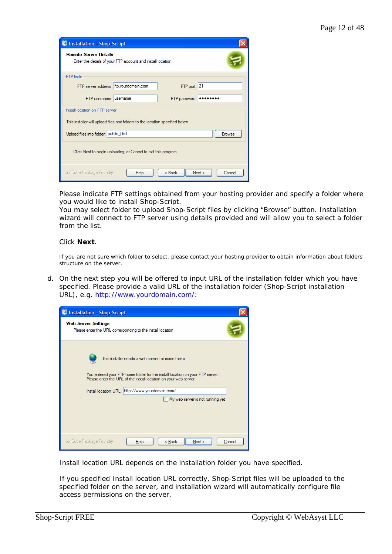| <b>Installation - Shop-Script</b>                                                          |  |  |
|--------------------------------------------------------------------------------------------|--|--|
| <b>Remote Server Details</b><br>Enter the details of your FTP account and install location |  |  |
| FTP login                                                                                  |  |  |
| FTP server address: ftp.yourdomain.com<br>FTP port: 21                                     |  |  |
| FTP usemame: usemame<br>FTP password:<br>                                                  |  |  |
| Install location on FTP server                                                             |  |  |
| This installer will upload files and folders to the location specified below.              |  |  |
| Upload files into folder: public_html<br><b>Browse</b>                                     |  |  |
| Click Next to begin uploading, or Cancel to exit this program.                             |  |  |
| ionCube Package Foundry<br>Next<br>< Back<br>Help<br>Cancel                                |  |  |

Please indicate FTP settings obtained from your hosting provider and specify a folder where you would like to install Shop-Script.

You may select folder to upload Shop-Script files by clicking "Browse" button. Installation wizard will connect to FTP server using details provided and will allow you to select a folder from the list.

#### Click **Next**.

If you are not sure which folder to select, please contact your hosting provider to obtain information about folders structure on the server.

d. On the next step you will be offered to input URL of the installation folder which you have specified. Please provide a valid URL of the installation folder (Shop-Script installation URL), e.g. http://www.yourdomain.com/:

| <b>C</b> Installation - Shop-Script                                                      |                                                                                                                                                                                                                                                                                               |        |
|------------------------------------------------------------------------------------------|-----------------------------------------------------------------------------------------------------------------------------------------------------------------------------------------------------------------------------------------------------------------------------------------------|--------|
| <b>Web Server Settings</b><br>Please enter the URL corresponding to the install location |                                                                                                                                                                                                                                                                                               |        |
|                                                                                          | This installer needs a web server for some tasks<br>You entered your FTP home folder for the install location on your FTP server.<br>Please enter the URL of the install location on your web server.<br>Install location URL: http://www.yourdomain.com/<br>My web server is not running yet |        |
| ionCube Package Foundry                                                                  | < Back<br>Next<br>Help                                                                                                                                                                                                                                                                        | Cancel |

Install location URL depends on the installation folder you have specified.

If you specified Install location URL correctly, Shop-Script files will be uploaded to the specified folder on the server, and installation wizard will automatically configure file access permissions on the server.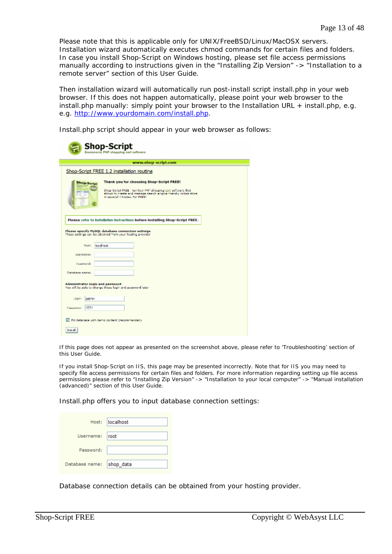Please note that this is applicable only for UNIX/FreeBSD/Linux/MacOSX servers. Installation wizard automatically executes *chmod* commands for certain files and folders. In case you install Shop-Script on Windows hosting, please set file access permissions manually according to instructions given in the "Installing Zip Version" -> "Installation to a remote server" section of this User Guide.

Then installation wizard will automatically run post-install script install.php in your web browser. If this does not happen automatically, please point your web browser to the install.php manually: simply point your browser to the Installation URL + install.php, e.g. e.g. http://www.yourdomain.com/install.php.

Install.php script should appear in your web browser as follows:

| <b>Shop-Script</b><br><b>Ecommerce PHP shopping cart software</b>                                                                                                                                                                  |  |  |  |
|------------------------------------------------------------------------------------------------------------------------------------------------------------------------------------------------------------------------------------|--|--|--|
| www.shop-script.com                                                                                                                                                                                                                |  |  |  |
| Shop-Script FREE 1.2 installation routine                                                                                                                                                                                          |  |  |  |
| Thank you for choosing Shop-Script FREE!<br>Shop-Script<br>FREE<br>Shop-Script FREE - turnkey PHP shopping cart software that<br>allows to create and manage search engine friendly online store<br>in assertal minutes, For FREET |  |  |  |
| Please refer to installation instructions before installing Shop-Script FREE.<br>Please specify MySQL database connection settings<br>These settings can be obtained from your hosting provider.                                   |  |  |  |
| localhost<br>Host:                                                                                                                                                                                                                 |  |  |  |
| Usemame:                                                                                                                                                                                                                           |  |  |  |
| Password:                                                                                                                                                                                                                          |  |  |  |
| Database name:                                                                                                                                                                                                                     |  |  |  |
| Administrator login and password<br>You will be able to change these login and pessword later.                                                                                                                                     |  |  |  |
| Logina<br>ladmin                                                                                                                                                                                                                   |  |  |  |
| 12.60<br>Passwords                                                                                                                                                                                                                 |  |  |  |
| E. Fill database with damo content (recommended)                                                                                                                                                                                   |  |  |  |
| <b>Install</b>                                                                                                                                                                                                                     |  |  |  |

If this page does not appear as presented on the screenshot above, please refer to 'Troubleshooting' section of this User Guide.

If you install Shop-Script on IIS, this page may be presented incorrectly. Note that for IIS you may need to specify file access permissions for certain files and folders. For more information regarding setting up file access permissions please refer to "Installing Zip Version" -> "Installation to your local computer" -> "Manual installation (advanced)" section of this User Guide.

Install.php offers you to input database connection settings:

|                          | Host: localhost |
|--------------------------|-----------------|
| Username: root           |                 |
| Password:                |                 |
| Database name: shop_data |                 |

Database connection details can be obtained from your hosting provider.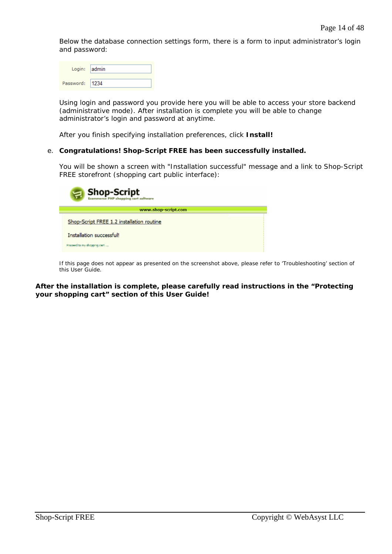Below the database connection settings form, there is a form to input administrator's login and password:

|           | Login: admin |
|-----------|--------------|
| Password: |              |

Using login and password you provide here you will be able to access your store backend (administrative mode). After installation is complete you will be able to change administrator's login and password at anytime.

After you finish specifying installation preferences, click **Install!** 

#### e. **Congratulations! Shop-Script FREE has been successfully installed.**

You will be shown a screen with "Installation successful" message and a link to Shop-Script FREE storefront (shopping cart public interface):

| <b>Shop-Script</b><br>$\simeq$            |  |
|-------------------------------------------|--|
| www.shop-script.com                       |  |
| Shop-Script FREE 1.2 installation routine |  |
| Installation successful!                  |  |
| Proceed to my shopping cart               |  |

If this page does not appear as presented on the screenshot above, please refer to 'Troubleshooting' section of this User Guide.

**After the installation is complete, please carefully read instructions in the "Protecting your shopping cart" section of this User Guide!**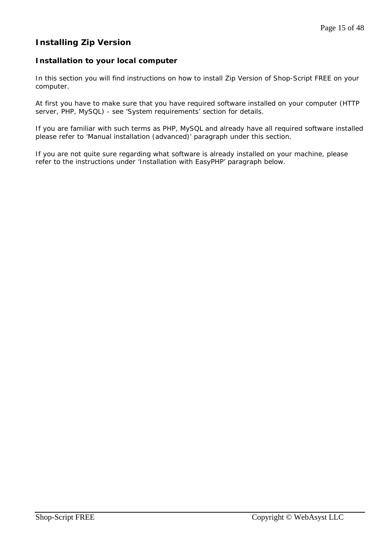# **Installing Zip Version**

# **Installation to your local computer**

In this section you will find instructions on how to install Zip Version of Shop-Script FREE on your computer.

At first you have to make sure that you have required software installed on your computer (HTTP server, PHP, MySQL) - see 'System requirements' section for details.

If you are familiar with such terms as PHP, MySQL and already have all required software installed please refer to 'Manual installation (advanced)' paragraph under this section.

If you are not quite sure regarding what software is already installed on your machine, please refer to the instructions under 'Installation with EasyPHP' paragraph below.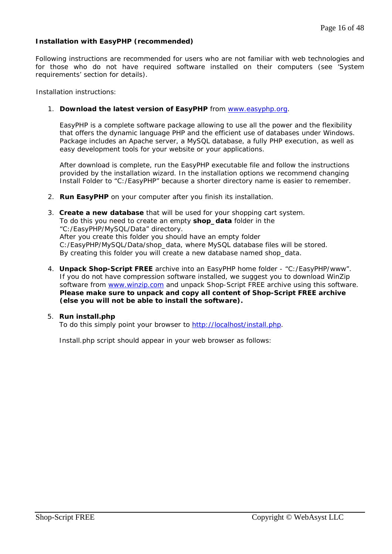## **Installation with EasyPHP (recommended)**

Following instructions are recommended for users who are not familiar with web technologies and for those who do not have required software installed on their computers (see 'System requirements' section for details).

Installation instructions:

#### 1. **Download the latest version of EasyPHP** from www.easyphp.org.

EasyPHP is a complete software package allowing to use all the power and the flexibility that offers the dynamic language PHP and the efficient use of databases under Windows. Package includes an Apache server, a MySQL database, a fully PHP execution, as well as easy development tools for your website or your applications.

After download is complete, run the EasyPHP executable file and follow the instructions provided by the installation wizard. In the installation options we recommend changing Install Folder to "C:/EasyPHP" because a shorter directory name is easier to remember.

- 2. **Run EasyPHP** on your computer after you finish its installation.
- 3. **Create a new database** that will be used for your shopping cart system. To do this you need to create an empty **shop\_data** folder in the "C:/EasyPHP/MySQL/Data" directory. After you create this folder you should have an empty folder C:/EasyPHP/MySQL/Data/shop\_data, where MySQL database files will be stored. By creating this folder you will create a new database named shop data.
- 4. **Unpack Shop-Script FREE** archive into an EasyPHP home folder "C:/EasyPHP/www". If you do not have compression software installed, we suggest you to download WinZip software from www.winzip.com and unpack Shop-Script FREE archive using this software. **Please make sure to unpack and copy all content of Shop-Script FREE archive (else you will not be able to install the software).**

#### 5. **Run install.php**

To do this simply point your browser to http://localhost/install.php.

Install.php script should appear in your web browser as follows: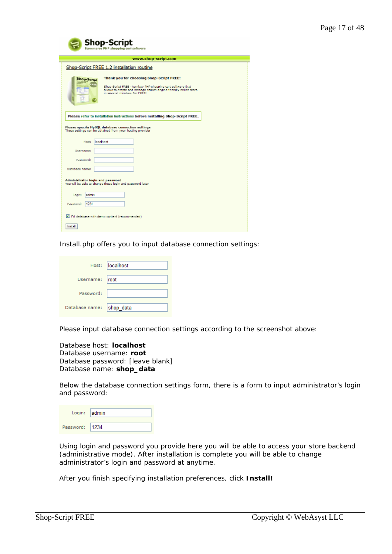| <b>Shop-Script</b><br>sumerce PHP shopping cart software                                                                                                                                                                           |  |  |  |
|------------------------------------------------------------------------------------------------------------------------------------------------------------------------------------------------------------------------------------|--|--|--|
| www.shop-script.com                                                                                                                                                                                                                |  |  |  |
| Shop-Script FREE 1.2 installation routine                                                                                                                                                                                          |  |  |  |
| Thank you for choosing Shop-Script FREE!<br>Shop-Script<br>FREI<br>Shop-Script FREE - turnkey PHP shopping cart software that<br>allow, to create and manage search engine friendly online store.<br>in several minutes, For FREET |  |  |  |
| Please refer to installation instructions before installing Shop-Script FREE.<br>Please specify NySQL database connection settings<br>These settings can be obtained from your hosting provider.                                   |  |  |  |
| localhost<br>Hoat:                                                                                                                                                                                                                 |  |  |  |
| <b>Usemame:</b>                                                                                                                                                                                                                    |  |  |  |
| Password:                                                                                                                                                                                                                          |  |  |  |
| Database name:                                                                                                                                                                                                                     |  |  |  |
| Administrator login and password<br>You will be able to change these login and pessword later                                                                                                                                      |  |  |  |
| ladmin<br>Logina                                                                                                                                                                                                                   |  |  |  |
| 12.66<br>Password:                                                                                                                                                                                                                 |  |  |  |
| Till database with demo content (recommended)                                                                                                                                                                                      |  |  |  |
| <b>Install</b>                                                                                                                                                                                                                     |  |  |  |

Install.php offers you to input database connection settings:

|                          | Host: localhost |
|--------------------------|-----------------|
| Username: root           |                 |
| Password:                |                 |
| Database name: shop_data |                 |

Please input database connection settings according to the screenshot above:

Database host: **localhost** Database username: **root** Database password: [leave blank] Database name: **shop\_data**

Below the database connection settings form, there is a form to input administrator's login and password:

| Login: admin |  |
|--------------|--|
| Password:    |  |

Using login and password you provide here you will be able to access your store backend (administrative mode). After installation is complete you will be able to change administrator's login and password at anytime.

After you finish specifying installation preferences, click **Install!**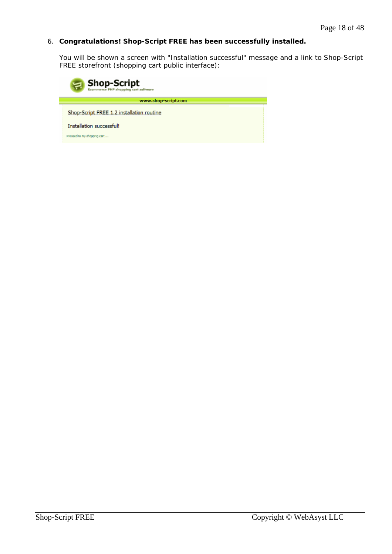# 6. **Congratulations! Shop-Script FREE has been successfully installed.**

You will be shown a screen with "Installation successful" message and a link to Shop-Script FREE storefront (shopping cart public interface):

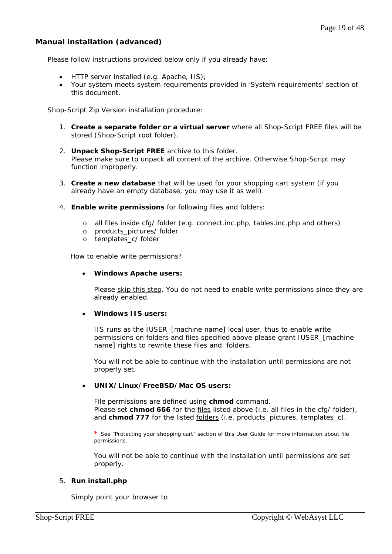# **Manual installation (advanced)**

Please follow instructions provided below only if you already have:

- HTTP server installed (e.g. Apache, IIS);
- Your system meets system requirements provided in 'System requirements' section of this document.

Shop-Script Zip Version installation procedure:

- 1. **Create a separate folder or a virtual server** where all Shop-Script FREE files will be stored (Shop-Script root folder).
- 2. **Unpack Shop-Script FREE** archive to this folder. Please make sure to unpack all content of the archive. Otherwise Shop-Script may function improperly.
- 3. **Create a new database** that will be used for your shopping cart system (if you already have an empty database, you may use it as well).
- 4. **Enable write permissions** for following files and folders:
	- o all files inside cfg/ folder (e.g. connect.inc.php, tables.inc.php and others)
	- o products\_pictures/ folder
	- o templates\_c/ folder

How to enable write permissions?

#### • **Windows Apache users:**

Please skip this step. You do not need to enable write permissions since they are already enabled.

#### • **Windows IIS users:**

IIS runs as the IUSER\_[machine name] local user, thus to enable write permissions on folders and files specified above please grant IUSER\_[machine name] rights to rewrite these files and folders.

You will not be able to continue with the installation until permissions are not properly set.

#### • **UNIX/Linux/FreeBSD/Mac OS users:**

File permissions are defined using **chmod** command. Please set **chmod 666** for the files listed above (i.e. all files in the cfg/ folder), and **chmod 777** for the listed <u>folders</u> (i.e. products\_pictures, templates\_c).

**\*** See "Protecting your shopping cart" section of this User Guide for more information about file permissions.

You will not be able to continue with the installation until permissions are set properly.

#### 5. **Run install.php**

Simply point your browser to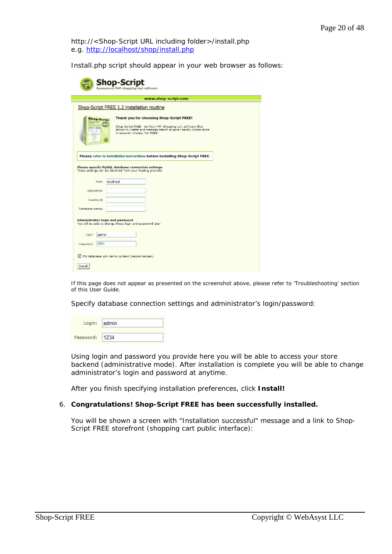*http://<Shop-Script URL including folder>/install.php* e.g. *http://localhost/shop/install.php*

Install.php script should appear in your web browser as follows:

| <b>Shop-Script</b><br><b>Ecommerce PHP shopping cart software</b>                                                                                                                                                                      |  |  |  |
|----------------------------------------------------------------------------------------------------------------------------------------------------------------------------------------------------------------------------------------|--|--|--|
| www.shop-script.com                                                                                                                                                                                                                    |  |  |  |
| Shop-Script FREE 1.2 installation routine                                                                                                                                                                                              |  |  |  |
| Thank you for choosing Shop-Script FREE!<br><b>Shop-Script</b><br>m<br>Shop-Script FREE - turnkey PHP shopping cart software that<br>allows to create and manage search engine friendly online store<br>in assessal minutes, For FREE! |  |  |  |
| Please refer to installation instructions before installing Shop-Script FREE.<br>Please specify NySQL database connection settings<br>These settings can be obtained from your hosting provider                                        |  |  |  |
| localhost<br>Host:                                                                                                                                                                                                                     |  |  |  |
| <b>Usemamer</b>                                                                                                                                                                                                                        |  |  |  |
| Password:                                                                                                                                                                                                                              |  |  |  |
| Database name:                                                                                                                                                                                                                         |  |  |  |
| Administrator login and password<br>You will be able to change these login and pessword later.                                                                                                                                         |  |  |  |
| ladmin<br>Logitati                                                                                                                                                                                                                     |  |  |  |
| 12.60<br>Password:                                                                                                                                                                                                                     |  |  |  |
| Till database with demo content (recommended)                                                                                                                                                                                          |  |  |  |
| <b>Install</b>                                                                                                                                                                                                                         |  |  |  |

If this page does not appear as presented on the screenshot above, please refer to 'Troubleshooting' section of this User Guide.

Specify database connection settings and administrator's login/password:

| Login: admin |       |
|--------------|-------|
| Password:    | 11234 |

Using login and password you provide here you will be able to access your store backend (administrative mode). After installation is complete you will be able to change administrator's login and password at anytime.

After you finish specifying installation preferences, click **Install!**

#### 6. **Congratulations! Shop-Script FREE has been successfully installed.**

You will be shown a screen with "Installation successful" message and a link to Shop-Script FREE storefront (shopping cart public interface):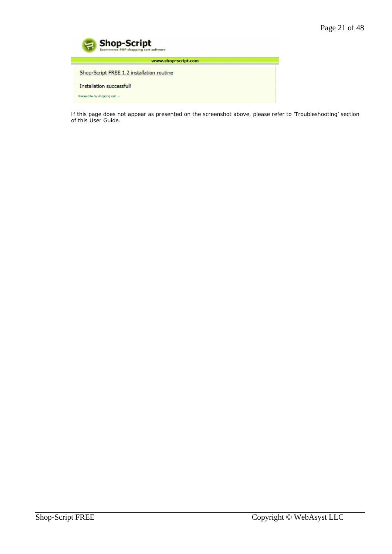| <b>Shop-Script</b><br>$\Xi$<br><b>Ecommerce PHP shopping cart software</b> |  |
|----------------------------------------------------------------------------|--|
| www.shop-script.com                                                        |  |
| Shop-Script FREE 1.2 installation routine                                  |  |
| Installation successful!                                                   |  |
| Proceed to my shapping cart                                                |  |

If this page does not appear as presented on the screenshot above, please refer to 'Troubleshooting' section of this User Guide.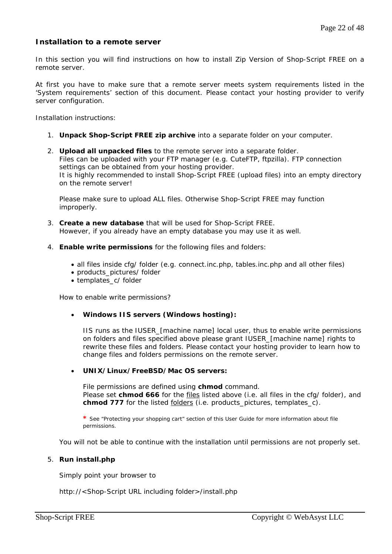# **Installation to a remote server**

In this section you will find instructions on how to install Zip Version of Shop-Script FREE on a remote server.

At first you have to make sure that a remote server meets system requirements listed in the 'System requirements' section of this document. Please contact your hosting provider to verify server configuration.

Installation instructions:

- 1. **Unpack Shop-Script FREE zip archive** into a separate folder on your computer.
- 2. **Upload all unpacked files** to the remote server into a separate folder. Files can be uploaded with your FTP manager (e.g. CuteFTP, ftpzilla). FTP connection settings can be obtained from your hosting provider. It is highly recommended to install Shop-Script FREE (upload files) into an empty directory on the remote server!

Please make sure to upload ALL files. Otherwise Shop-Script FREE may function improperly.

- 3. **Create a new database** that will be used for Shop-Script FREE. However, if you already have an empty database you may use it as well.
- 4. **Enable write permissions** for the following files and folders:
	- all files inside cfg/ folder (e.g. connect.inc.php, tables.inc.php and all other files)
	- products pictures/ folder
	- templates\_c/ folder

How to enable write permissions?

#### • **Windows IIS servers (Windows hosting):**

IIS runs as the IUSER\_[machine name] local user, thus to enable write permissions on folders and files specified above please grant IUSER\_[machine name] rights to rewrite these files and folders. Please contact your hosting provider to learn how to change files and folders permissions on the remote server.

## • **UNIX/Linux/FreeBSD/Mac OS servers:**

File permissions are defined using **chmod** command. Please set **chmod 666** for the files listed above (i.e. all files in the cfg/ folder), and **chmod 777** for the listed folders (i.e. products\_pictures, templates\_c).

**\*** See "Protecting your shopping cart" section of this User Guide for more information about file permissions.

You will not be able to continue with the installation until permissions are not properly set.

#### 5. **Run install.php**

Simply point your browser to

*http://<Shop-Script URL including folder>/install.php*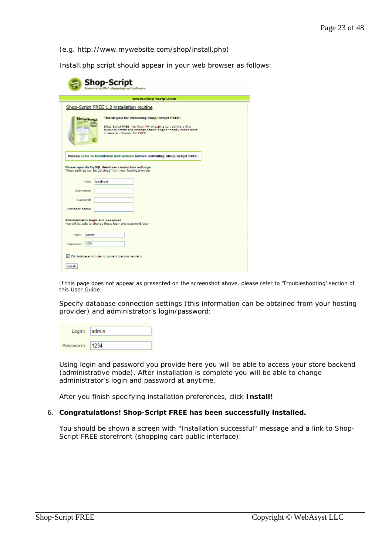*(*e.g. *http://www.mywebsite.com/shop/install.php)* 

Install.php script should appear in your web browser as follows:

| <b>Shop-Script</b><br><b>Ecommerce PHP shopping cart software</b>                                                                                                                                                                      |  |  |  |  |
|----------------------------------------------------------------------------------------------------------------------------------------------------------------------------------------------------------------------------------------|--|--|--|--|
| www.shop-script.com                                                                                                                                                                                                                    |  |  |  |  |
| Shop-Script FREE 1.2 installation routine                                                                                                                                                                                              |  |  |  |  |
| Thank you for choosing Shop-Script FREE!<br><b>Shop-Script</b><br>ж<br>Shop-Script FREE - turnkey PHP shopping cart software that<br>allows to create and manage search engine friendly online store<br>in assessal minutes, For FREE! |  |  |  |  |
| Please refer to installation instructions before installing Shop-Script FREE.<br>Please specify NySQL database connection settings<br>These settings can be obtained from your hosting provider                                        |  |  |  |  |
| localhost<br>Host:                                                                                                                                                                                                                     |  |  |  |  |
| Usemame:                                                                                                                                                                                                                               |  |  |  |  |
| Password:                                                                                                                                                                                                                              |  |  |  |  |
| Database name:                                                                                                                                                                                                                         |  |  |  |  |
| Administrator login and password<br>You will be able to change these login and pessword later.                                                                                                                                         |  |  |  |  |
| Logina<br>ladmin                                                                                                                                                                                                                       |  |  |  |  |
| 1234<br>Password:                                                                                                                                                                                                                      |  |  |  |  |
| Till database with demo content (recommended)                                                                                                                                                                                          |  |  |  |  |
| Install                                                                                                                                                                                                                                |  |  |  |  |

If this page does not appear as presented on the screenshot above, please refer to 'Troubleshooting' section of this User Guide.

Specify database connection settings (this information can be obtained from your hosting provider) and administrator's login/password:

| Login: admin |  |
|--------------|--|
| Password:    |  |

Using login and password you provide here you will be able to access your store backend (administrative mode). After installation is complete you will be able to change administrator's login and password at anytime.

After you finish specifying installation preferences, click **Install!** 

#### 6. **Congratulations! Shop-Script FREE has been successfully installed.**

You should be shown a screen with "Installation successful" message and a link to Shop-Script FREE storefront (shopping cart public interface):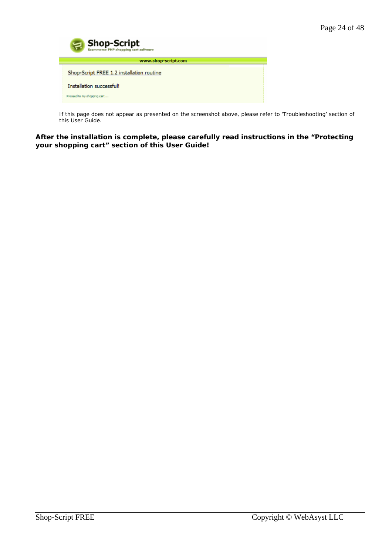

If this page does not appear as presented on the screenshot above, please refer to 'Troubleshooting' section of this User Guide.

**After the installation is complete, please carefully read instructions in the "Protecting your shopping cart" section of this User Guide!**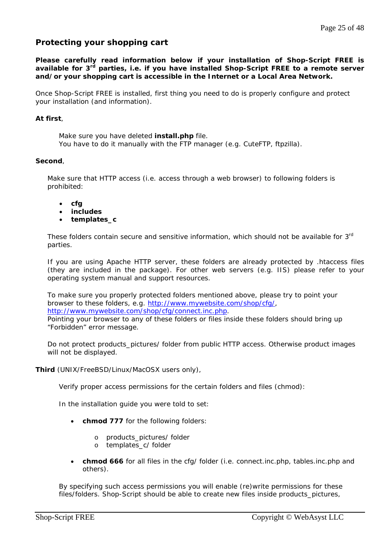# **Protecting your shopping cart**

**Please carefully read information below if your installation of Shop-Script FREE is available for 3rd parties, i.e. if you have installed Shop-Script FREE to a remote server and/or your shopping cart is accessible in the Internet or a Local Area Network.** 

Once Shop-Script FREE is installed, first thing you need to do is properly configure and protect your installation (and information).

## *At first*,

Make sure you have deleted **install.php** file. You have to do it manually with the FTP manager (e.g. CuteFTP, ftpzilla).

## *Second*,

Make sure that HTTP access (i.e. access through a web browser) to following folders is prohibited:

- **cfg**
- **includes**
- **templates\_c**

These folders contain secure and sensitive information, which should not be available for 3<sup>rd</sup> parties.

If you are using Apache HTTP server, these folders are already protected by .htaccess files (they are included in the package). For other web servers (e.g. IIS) please refer to your operating system manual and support resources.

To make sure you properly protected folders mentioned above, please try to point your browser to these folders, e.g. http://www.mywebsite.com/shop/cfg/, http://www.mywebsite.com/shop/cfg/connect.inc.php.

Pointing your browser to any of these folders or files inside these folders should bring up "Forbidden" error message.

Do not protect products\_pictures/ folder from public HTTP access. Otherwise product images will not be displayed.

*Third* (UNIX/FreeBSD/Linux/MacOSX users only),

Verify proper access permissions for the certain folders and files (chmod):

In the installation guide you were told to set:

- **chmod 777** for the following folders:
	- o products\_pictures/ folder
	- o templates\_c/ folder
- **chmod 666** for all files in the cfg/ folder (i.e. connect.inc.php, tables.inc.php and others).

By specifying such access permissions you will enable (re)write permissions for these files/folders. Shop-Script should be able to create new files inside *products\_pictures,*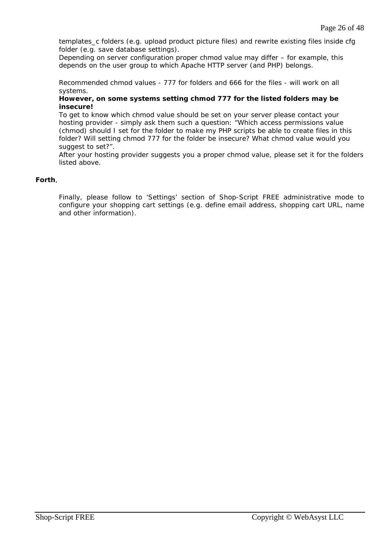*templates\_c* folders (e.g. upload product picture files) and rewrite existing files inside *cfg* folder (e.g. save database settings).

Depending on server configuration proper chmod value may differ – for example, this depends on the user group to which Apache HTTP server (and PHP) belongs.

Recommended chmod values - 777 for folders and 666 for the files - will work on all systems.

### **However, on some systems setting chmod 777 for the listed folders may be insecure!**

To get to know which chmod value should be set on your server please contact your hosting provider - simply ask them such a question: "Which access permissions value (chmod) should I set for the folder to make my PHP scripts be able to create files in this folder? Will setting chmod 777 for the folder be insecure? What chmod value would you suggest to set?".

After your hosting provider suggests you a proper chmod value, please set it for the folders listed above.

## *Forth*,

Finally, please follow to 'Settings' section of Shop-Script FREE administrative mode to configure your shopping cart settings (e.g. define email address, shopping cart URL, name and other information).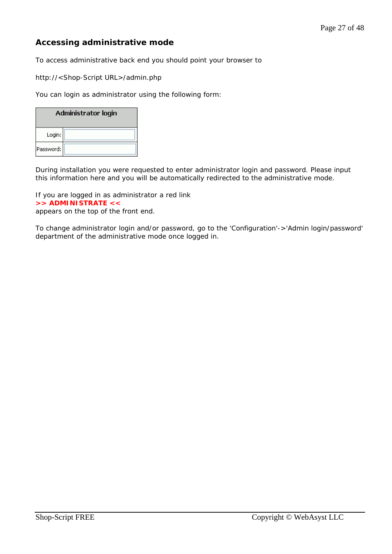# **Accessing administrative mode**

To access administrative back end you should point your browser to

http://<Shop-Script URL>/admin.php

You can login as administrator using the following form:

| Administrator login |  |  |  |
|---------------------|--|--|--|
| Login:              |  |  |  |
| Password:           |  |  |  |

During installation you were requested to enter administrator login and password. Please input this information here and you will be automatically redirected to the administrative mode.

If you are logged in as administrator a red link **>> ADMINISTRATE <<** appears on the top of the front end.

To change administrator login and/or password, go to the 'Configuration'->'Admin login/password' department of the administrative mode once logged in.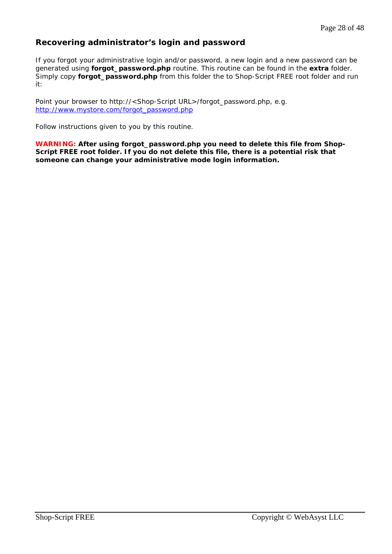# **Recovering administrator's login and password**

If you forgot your administrative login and/or password, a new login and a new password can be generated using **forgot\_password.php** routine. This routine can be found in the **extra** folder. Simply copy **forgot\_password.php** from this folder the to Shop-Script FREE root folder and run it:

Point your browser to *http://<Shop-Script URL>/forgot\_password.php, e.g. http://www.mystore.com/forgot\_password.php*

Follow instructions given to you by this routine.

**WARNING: After using forgot\_password.php you need to delete this file from Shop-Script FREE root folder. If you do not delete this file, there is a potential risk that someone can change your administrative mode login information.**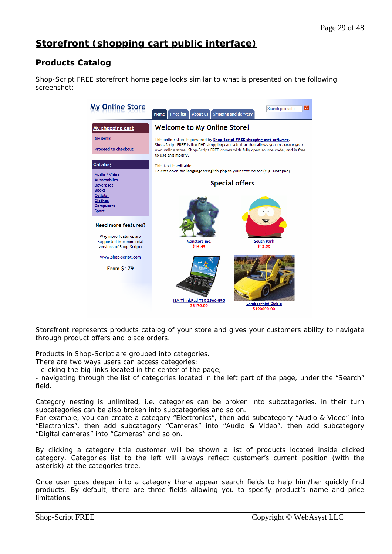# **Storefront (shopping cart public interface)**

# **Products Catalog**

Shop-Script FREE storefront home page looks similar to what is presented on the following screenshot:



Storefront represents products catalog of your store and gives your customers ability to navigate through product offers and place orders.

Products in Shop-Script are grouped into categories.

There are two ways users can access categories:

- clicking the big links located in the center of the page;

- navigating through the list of categories located in the left part of the page, under the "Search" field.

Category nesting is unlimited, i.e. categories can be broken into subcategories, in their turn subcategories can be also broken into subcategories and so on.

For example, you can create a category "Electronics", then add subcategory "Audio & Video" into "Electronics", then add subcategory "Cameras" into "Audio & Video", then add subcategory "Digital cameras" into "Cameras" and so on.

By clicking a category title customer will be shown a list of products located inside clicked category. Categories list to the left will always reflect customer's current position (with the asterisk) at the categories tree.

Once user goes deeper into a category there appear search fields to help him/her quickly find products. By default, there are three fields allowing you to specify product's name and price limitations.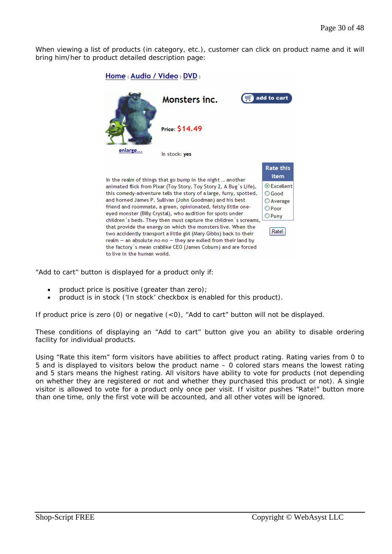When viewing a list of products (in category, etc.), customer can click on product name and it will bring him/her to product detailed description page:



"Add to cart" button is displayed for a product only if:

- product price is positive (greater than zero);
- product is in stock ('In stock' checkbox is enabled for this product).

If product price is zero (0) or negative (<0), "Add to cart" button will not be displayed.

These conditions of displaying an "Add to cart" button give you an ability to disable ordering facility for individual products.

Using "Rate this item" form visitors have abilities to affect product rating. Rating varies from 0 to 5 and is displayed to visitors below the product name – 0 colored stars means the lowest rating and 5 stars means the highest rating. All visitors have ability to vote for products (not depending on whether they are registered or not and whether they purchased this product or not). A single visitor is allowed to vote for a product only once per visit. If visitor pushes "Rate!" button more than one time, only the first vote will be accounted, and all other votes will be ignored.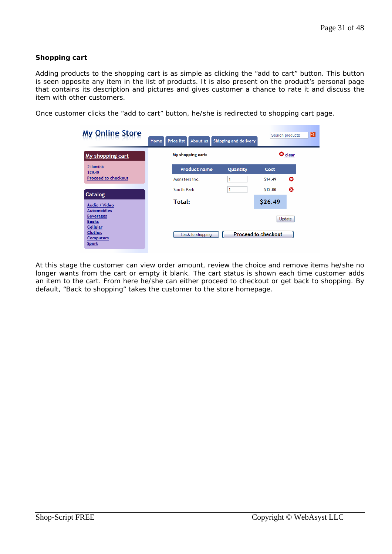## **Shopping cart**

Adding products to the shopping cart is as simple as clicking the "add to cart" button. This button is seen opposite any item in the list of products. It is also present on the product's personal page that contains its description and pictures and gives customer a chance to rate it and discuss the item with other customers.

Once customer clicks the "add to cart" button, he/she is redirected to shopping cart page.

| <b>My Online Store</b>                                                | Home | Price list        | About us            | Shipping and delivery |                            | Search products   | $\vert \mathbf{a} \vert$ |  |
|-----------------------------------------------------------------------|------|-------------------|---------------------|-----------------------|----------------------------|-------------------|--------------------------|--|
| My shopping cart                                                      |      | My shopping cart: |                     |                       |                            | $\mathbf 0$ clear |                          |  |
| $2$ item(s):<br>\$26.49                                               |      |                   | <b>Product name</b> | Quantity              | Cost                       |                   |                          |  |
| <b>Proceed to checkout</b>                                            |      | Monsters inc.     |                     | 1                     | S <sub>14</sub> .49        | o                 |                          |  |
|                                                                       |      | South Park        |                     | 1                     | \$12.00                    | o                 |                          |  |
| Catalog<br>Audio / Video                                              |      | Total:            |                     |                       | \$26.49                    |                   |                          |  |
| <b>Automobiles</b><br><b>Beverages</b><br><b>Books</b>                |      |                   |                     |                       |                            | Update            |                          |  |
| <b>Cellular</b><br><b>Clothes</b><br><b>Computers</b><br><b>Sport</b> |      |                   | Back to shopping    |                       | <b>Proceed to checkout</b> |                   |                          |  |

At this stage the customer can view order amount, review the choice and remove items he/she no longer wants from the cart or empty it blank. The cart status is shown each time customer adds an item to the cart. From here he/she can either proceed to checkout or get back to shopping. By default, "Back to shopping" takes the customer to the store homepage.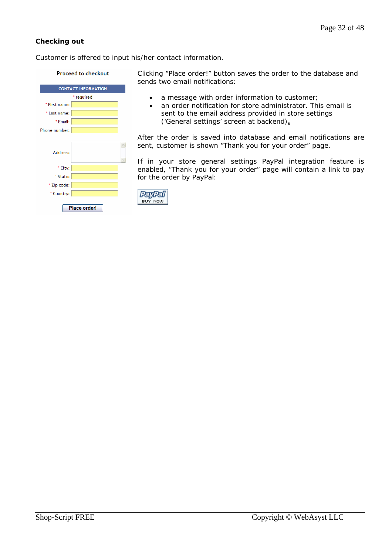## **Checking out**

Customer is offered to input his/her contact information.

#### Proceed to checkout

|               | <b>CONTACT INFORMATION</b> |  |
|---------------|----------------------------|--|
|               | * required                 |  |
| * First name: |                            |  |
| * Last name:  |                            |  |
| * Email:      |                            |  |
| Phone number: |                            |  |
|               |                            |  |
| Address:      |                            |  |
| * City:       |                            |  |
| * State:      |                            |  |
| * Zip code:   |                            |  |
| * Country:    |                            |  |
|               | Place order!               |  |

Clicking "Place order!" button saves the order to the database and sends two email notifications:

- a message with order information to customer;
- an order notification for store administrator. This email is sent to the email address provided in store settings ('General settings' screen at backend)**.**

After the order is saved into database and email notifications are sent, customer is shown "Thank you for your order" page.

If in your store general settings PayPal integration feature is enabled, "Thank you for your order" page will contain a link to pay for the order by PayPal:

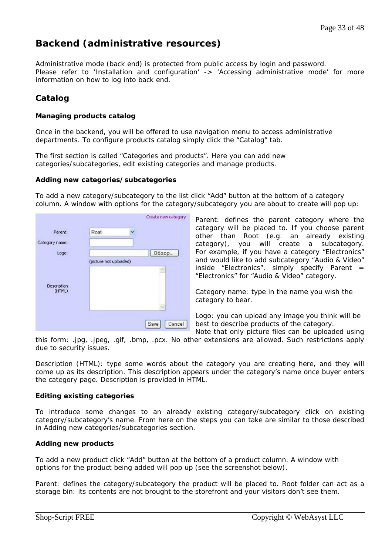# **Backend (administrative resources)**

Administrative mode (back end) is protected from public access by login and password. Please refer to 'Installation and configuration' -> 'Accessing administrative mode' for more information on how to log into back end.

# **Catalog**

## **Managing products catalog**

Once in the backend, you will be offered to use navigation menu to access administrative departments. To configure products catalog simply click the "Catalog" tab.

The first section is called "Categories and products". Here you can add new categories/subcategories, edit existing categories and manage products.

#### **Adding new categories/subcategories**

To add a new category/subcategory to the list click "Add" button at the bottom of a category column. A window with options for the category/subcategory you are about to create will pop up:



*Parent*: defines the parent category where the category will be placed to. If you choose parent other than Root (e.g. an already existing category), you will create a subcategory. For example, if you have a category "Electronics" and would like to add subcategory "Audio & Video" inside "Electronics", simply specify Parent  $=$ "Electronics" for "Audio & Video" category.

*Category name*: type in the name you wish the category to bear.

*Logo*: you can upload any image you think will be best to describe products of the category.

Note that only picture files can be uploaded using this form: .jpg, .jpeg, .gif, .bmp, .pcx. No other extensions are allowed. Such restrictions apply due to security issues.

*Description (HTML)*: type some words about the category you are creating here, and they will come up as its description. This description appears under the category's name once buyer enters the category page. Description is provided in HTML.

#### **Editing existing categories**

To introduce some changes to an already existing category/subcategory click on existing category/subcategory's name. From here on the steps you can take are similar to those described in Adding new categories/subcategories section.

#### **Adding new products**

To add a new product click "Add" button at the bottom of a product column. A window with options for the product being added will pop up (see the screenshot below).

*Parent*: defines the category/subcategory the product will be placed to. Root folder can act as a storage bin: its contents are not brought to the storefront and your visitors don't see them.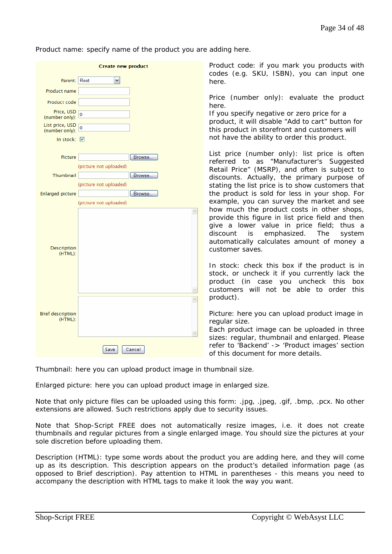*Product name*: specify name of the product you are adding here.

|                                     | <b>Create new product</b> |        |
|-------------------------------------|---------------------------|--------|
| Parent:                             | Root<br>٧                 |        |
| Product name                        |                           |        |
| Product code                        |                           |        |
| Price, USD<br>(number only):        | $\overline{0}$            |        |
| List price, USD<br>(number only):   | $\overline{0}$            |        |
| In stock: ☑                         |                           |        |
| Picture                             |                           | Browse |
|                                     | (picture not uploaded)    |        |
| Thumbnail                           |                           | Browse |
|                                     | (picture not uploaded)    |        |
| <b>Enlarged picture</b>             | (picture not uploaded)    | Browse |
| Description<br>(HTML):              |                           |        |
|                                     |                           |        |
| <b>Brief description</b><br>(HTML): |                           |        |
|                                     | Save                      | Cancel |

*Product code*: if you mark you products with codes (e.g. SKU, ISBN), you can input one here.

*Price (number only)*: evaluate the product here.

If you specify negative or zero price for a product, it will disable "Add to cart" button for this product in storefront and customers will not have the ability to order this product.

*List price (number only)*: list price is often referred to as "Manufacturer's Suggested Retail Price" (MSRP), and often is subject to discounts. Actually, the primary purpose of stating the list price is to show customers that the product is sold for less in your shop. For example, you can survey the market and see how much the product costs in other shops, provide this figure in *list price* field and then give a lower value in *price* field; thus a discount is emphasized. The system automatically calculates amount of money a customer saves.

*In stock*: check this box if the product is in stock, or uncheck it if you currently lack the product (in case you uncheck this box customers will not be able to order this product).

*Picture*: here you can upload product image in regular size.

Each product image can be uploaded in three sizes: regular, thumbnail and enlarged. Please refer to 'Backend' -> 'Product images' section of this document for more details.

*Thumbnail*: here you can upload product image in thumbnail size.

*Enlarged picture*: here you can upload product image in enlarged size.

Note that only picture files can be uploaded using this form: .jpg, .jpeg, .gif, .bmp, .pcx. No other extensions are allowed. Such restrictions apply due to security issues.

Note that Shop-Script FREE does not automatically resize images, i.e. it does not create thumbnails and regular pictures from a single enlarged image. You should size the pictures at your sole discretion before uploading them.

*Description (HTML)*: type some words about the product you are adding here, and they will come up as its description. This description appears on the product's detailed information page (as opposed to *Brief description*). Pay attention to HTML in parentheses - this means you need to accompany the description with HTML tags to make it look the way you want.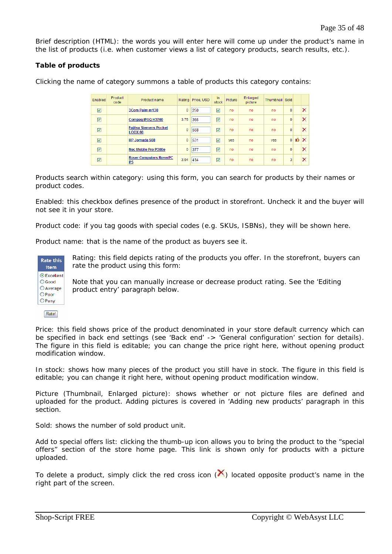*Brief description (HTML)*: the words you will enter here will come up under the product's name in the list of products (i.e. when customer views a list of category products, search results, etc.).

## **Table of products**

| Enabled | Product<br>code | Product name                                    |              | Rating Price, USD | <b>In</b><br>stock | Picture    | Enlarged<br>picture | Thumbnail Sold |                |     |          |
|---------|-----------------|-------------------------------------------------|--------------|-------------------|--------------------|------------|---------------------|----------------|----------------|-----|----------|
| ☑       |                 | 3Com Palm m130                                  | $\mathbf{0}$ | 250               | ☑                  | no         | no.                 | no             | 0              |     | ×        |
| ☑       |                 | Compag iPAQ H3760                               | 3.75         | 365               | ☑                  | no         | no                  | no             | 0              |     | ×        |
| ☑       |                 | <b>Fujitsu Siemens Pocket</b><br><b>LOOX 60</b> | 0            | 568               | ☑                  | no         | no                  | no             | 0              |     | ×        |
| ☑       |                 | HP Jornada 568                                  | $\mathbf{0}$ | 531               | ☑                  | <b>ves</b> | no                  | <b>ves</b>     | $\overline{0}$ | IĜ. | $\times$ |
| ▽       |                 | <b>Nec Mobile Pro P300e</b>                     | 0            | 377               | ☑                  | no         | no                  | no             | $\mathbf{0}$   |     | ×        |
| ⊽       |                 | <b>Rover Computers RoverPC</b><br>P5            | 3.04         | 414               | 罓                  | no         | no                  | no             | 3              |     | ×        |

Clicking the name of category summons a table of products this category contains:

*Products search within category*: using this form, you can search for products by their names or product codes.

*Enabled*: this checkbox defines presence of the product in storefront. Uncheck it and the buyer will not see it in your store.

*Product code*: if you tag goods with special codes (e.g. SKUs, ISBNs), they will be shown here.

*Product name*: that is the name of the product as buyers see it.



*Rating*: this field depicts rating of the products you offer. In the storefront, buyers can rate the product using this form:

Note that you can manually increase or decrease product rating. See the 'Editing product entry' paragraph below.

Rate!

*Price*: this field shows price of the product denominated in your store default currency which can be specified in back end settings (see 'Back end' -> 'General configuration' section for details). The figure in this field is editable; you can change the price right here, without opening product modification window.

*In stock*: shows how many pieces of the product you still have in stock. The figure in this field is editable; you can change it right here, without opening product modification window.

*Picture (Thumbnail, Enlarged picture)*: shows whether or not picture files are defined and uploaded for the product. Adding pictures is covered in 'Adding new products' paragraph in this section.

*Sold*: shows the number of sold product unit.

*Add to special offers list*: clicking the thumb-up icon allows you to bring the product to the "special offers" section of the store home page. This link is shown only for products with a picture uploaded.

To delete a product, simply click the red cross icon  $(X)$  located opposite product's name in the right part of the screen.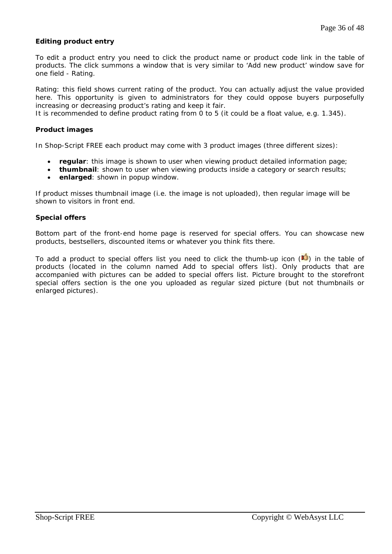## **Editing product entry**

To edit a product entry you need to click the product name or product code link in the table of products. The click summons a window that is very similar to 'Add new product' window save for one field - Rating.

*Rating*: this field shows current rating of the product. You can actually adjust the value provided here. This opportunity is given to administrators for they could oppose buyers purposefully increasing or decreasing product's rating and keep it fair.

It is recommended to define product rating from 0 to 5 (it could be a float value, e.g. 1.345).

#### **Product images**

In Shop-Script FREE each product may come with 3 product images (three different sizes):

- **regular**: this image is shown to user when viewing product detailed information page;
- **thumbnail**: shown to user when viewing products inside a category or search results;
- **enlarged**: shown in popup window.

If product misses thumbnail image (i.e. the image is not uploaded), then regular image will be shown to visitors in front end.

#### **Special offers**

Bottom part of the front-end home page is reserved for special offers. You can showcase new products, bestsellers, discounted items or whatever you think fits there.

To add a product to special offers list you need to click the thumb-up icon  $(\bigcup_{i=1}^{\infty}$  in the table of products (located in the column named *Add to special offers list*). Only products that are accompanied with pictures can be added to special offers list. Picture brought to the storefront special offers section is the one you uploaded as regular sized picture (but not thumbnails or enlarged pictures).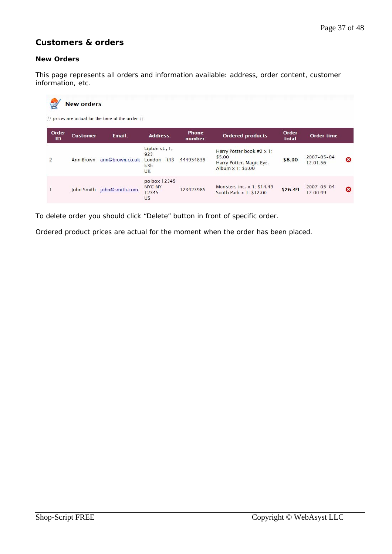# **Customers & orders**

## **New Orders**

This page represents all orders and information available: address, order content, customer information, etc.

|                | <b>New orders</b> | // prices are actual for the time of the order // |                                                             |                  |                                                                                      |                |                              |   |
|----------------|-------------------|---------------------------------------------------|-------------------------------------------------------------|------------------|--------------------------------------------------------------------------------------|----------------|------------------------------|---|
| Order<br>ID    | <b>Customer</b>   | Fmail:                                            | Address:                                                    | Phone<br>number: | <b>Ordered products</b>                                                              | Order<br>total | <b>Order time</b>            |   |
| $\overline{2}$ | Ann Brown         | ann@brown.co.uk                                   | Lipton st., 1,<br>925<br>London $-$ t43<br>k3h<br><b>UK</b> | 444954839        | Harry Potter book #2 x 1:<br>\$5.00<br>Harry Potter. Magic Eye.<br>Album x 1: \$3.00 | \$8.00         | $2007 - 05 - 04$<br>12:01:56 | ø |
|                |                   | John Smith john@smith.com                         | po box 12345<br>NYC NY<br>12345<br>U <sub>S</sub>           | 123423985        | Monsters inc. x 1: \$14.49<br>South Park x 1: \$12.00                                | \$26.49        | $2007 - 05 - 04$<br>12:00:49 | o |

To delete order you should click "Delete" button in front of specific order.

Ordered product prices are actual for the moment when the order has been placed.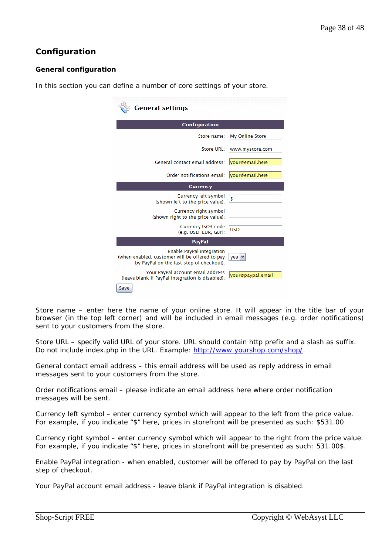# **Configuration**

# **General configuration**

In this section you can define a number of core settings of your store.

| <b>General settings</b>                                                                                                 |                   |
|-------------------------------------------------------------------------------------------------------------------------|-------------------|
| <b>Configuration</b>                                                                                                    |                   |
| Store name:                                                                                                             | My Online Store   |
| Store URL:                                                                                                              | www.mystore.com   |
| General contact email address:                                                                                          | vour@email.here   |
| Order notifications email:                                                                                              | vour@email.here   |
| <b>Currency</b>                                                                                                         |                   |
| Currency left symbol<br>(shown left to the price value):                                                                | \$                |
| Currency right symbol<br>(shown right to the price value):                                                              |                   |
| Currency ISO3 code<br>(e.g. USD, EUR, GBP):                                                                             | <b>USD</b>        |
| <b>PayPal</b>                                                                                                           |                   |
| Enable PayPal integration<br>(when enabled, customer will be offered to pay<br>by PayPal on the last step of checkout): | yes \             |
| Your PayPal account email address<br>(leave blank if PayPal integration is disabled):<br>Save                           | your@paypal.email |

*Store name* – enter here the name of your online store. It will appear in the title bar of your browser (in the top left corner) and will be included in email messages (e.g. order notifications) sent to your customers from the store.

*Store URL* – specify valid URL of your store. URL should contain http prefix and a slash as suffix. Do not include index.php in the URL. Example: http://www.yourshop.com/shop/.

*General contact email address* – this email address will be used as reply address in email messages sent to your customers from the store.

*Order notifications email* – please indicate an email address here where order notification messages will be sent.

*Currency left symbol* – enter currency symbol which will appear to the left from the price value. For example, if you indicate "\$" here, prices in storefront will be presented as such: \$531.00

*Currency right symbol* – enter currency symbol which will appear to the right from the price value. For example, if you indicate "\$" here, prices in storefront will be presented as such: 531.00\$.

*Enable PayPal integration* - when enabled, customer will be offered to pay by PayPal on the last step of checkout.

*Your PayPal account email address* - leave blank if PayPal integration is disabled.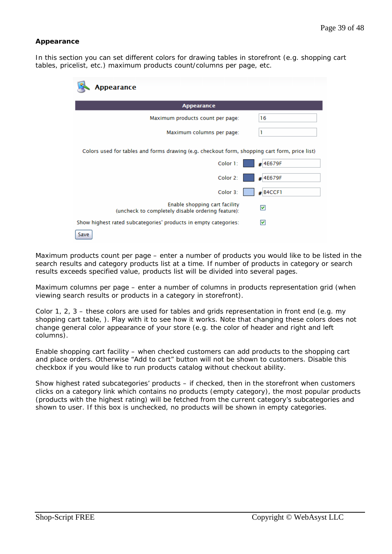## **Appearance**

In this section you can set different colors for drawing tables in storefront (e.g. shopping cart tables, pricelist, etc.) maximum products count/columns per page, etc.

| ppearance                                                                                     |            |
|-----------------------------------------------------------------------------------------------|------------|
| <b>Appearance</b>                                                                             |            |
| Maximum products count per page:                                                              | 16         |
| Maximum columns per page:                                                                     | 1          |
| Colors used for tables and forms drawing (e.g. checkout form, shopping cart form, price list) |            |
| Color 1:                                                                                      | #4E679F    |
| Color 2:                                                                                      | #4E679F    |
| Color 3:                                                                                      | $#$ B4CCF1 |
| Enable shopping cart facility<br>(uncheck to completely disable ordering feature):            | ⊽          |
| Show highest rated subcategories' products in empty categories:                               | ☑          |
| Save                                                                                          |            |

*Maximum products count per page* – enter a number of products you would like to be listed in the search results and category products list at a time. If number of products in category or search results exceeds specified value, products list will be divided into several pages.

*Maximum columns per page* – enter a number of columns in products representation grid (when viewing search results or products in a category in storefront).

*Color 1, 2, 3* – these colors are used for tables and grids representation in front end (e.g. my shopping cart table, ). Play with it to see how it works. Note that changing these colors does not change general color appearance of your store (e.g. the color of header and right and left columns).

*Enable shopping cart facility* – when checked customers can add products to the shopping cart and place orders. Otherwise "Add to cart" button will not be shown to customers. Disable this checkbox if you would like to run products catalog without checkout ability.

*Show highest rated subcategories' products –* if checked, then in the storefront when customers clicks on a category link which contains no products (empty category), the most popular products (products with the highest rating) will be fetched from the current category's subcategories and shown to user. If this box is unchecked, no products will be shown in empty categories.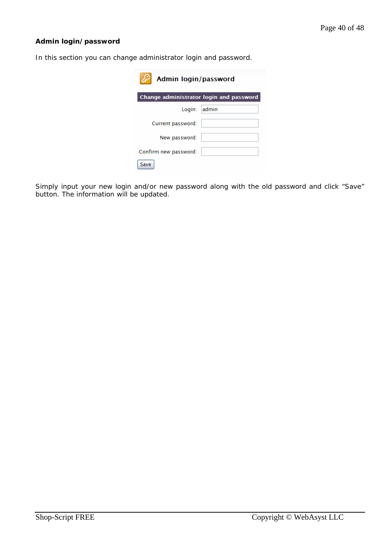# **Admin login/password**

In this section you can change administrator login and password.

| Admin login/password                    |       |
|-----------------------------------------|-------|
| Change administrator login and password |       |
| Login:                                  | admin |
| Current password:                       |       |
| New password:                           |       |
| Confirm new password:                   |       |
| Save                                    |       |

Simply input your new login and/or new password along with the old password and click "Save" button. The information will be updated.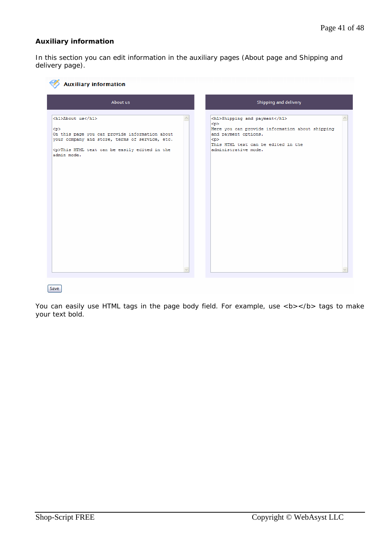# **Auxiliary information**

In this section you can edit information in the auxiliary pages (About page and Shipping and delivery page).

| About us                                                                                                                                                                                          | Shipping and delivery                                                                                                                                                                   |  |  |  |
|---------------------------------------------------------------------------------------------------------------------------------------------------------------------------------------------------|-----------------------------------------------------------------------------------------------------------------------------------------------------------------------------------------|--|--|--|
| <h1>About us</h1><br>< p<br>On this page you can provide information about<br>your company and store, terms of service, etc.<br><p>This HTML text can be easily edited in the<br/>admin mode.</p> | <h1>Shipping and payment</h1><br>< p<br>Here you can provide information about shipping<br>and payment options.<br>< p ><br>This HTML text can be edited in the<br>administrative mode. |  |  |  |

Save

You can easily use HTML tags in the page body field. For example, use <b></b> tags to make your text bold.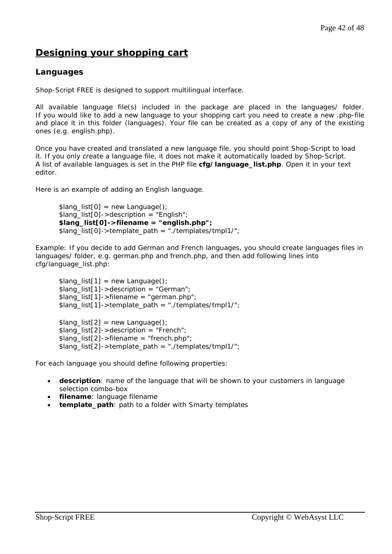# **Designing your shopping cart**

# **Languages**

Shop-Script FREE is designed to support multilingual interface.

All available language file(s) included in the package are placed in the *languages/* folder. If you would like to add a new language to your shopping cart you need to create a new .php-file and place it in this folder (*languages*). Your file can be created as a copy of any of the existing ones (e.g. english.php).

Once you have created and translated a new language file, you should point Shop-Script to load it. If you only create a language file, it does not make it automatically loaded by Shop-Script. A list of available languages is set in the PHP file **cfg/language\_list.php**. Open it in your text editor.

Here is an example of adding an English language.

```
\; \text{S}lang list[0] = new Language();
$lang_list[0]->description = "English"; 
$lang_list[0]->filename = "english.php";
$lang_list[0]->template_path = "./templates/tmpl1/";
```
Example: If you decide to add German and French languages, you should create languages files in *languages*/ folder, e.g. german.php and french.php, and then add following lines into cfg/language\_list.php:

 $\quad \text{Slang}_list[1] = new Language();$ \$lang\_list[1]->description = "German";  $\; \text{S}$ lang list[1]->filename = "german.php"; \$lang\_list[1]->template\_path = "./templates/tmpl1/";  $\; \text{S}$ lang list[2] = new Language();  $\frac{1}{2}$ slang list[2]->description = "French"; \$lang\_list[2]->filename = "french.php"; \$lang\_list[2]->template\_path = "./templates/tmpl1/";

For each language you should define following properties:

- **description**: name of the language that will be shown to your customers in language selection combo-box
- **filename**: language filename
- **template\_path**: path to a folder with Smarty templates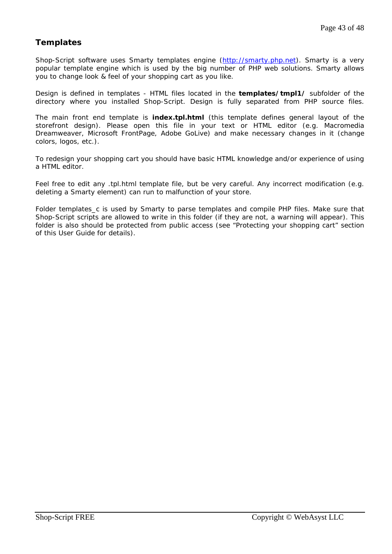# **Templates**

Shop-Script software uses Smarty templates engine (http://smarty.php.net). Smarty is a very popular template engine which is used by the big number of PHP web solutions. Smarty allows you to change look & feel of your shopping cart as you like.

Design is defined in templates - HTML files located in the **templates/tmpl1/** subfolder of the directory where you installed Shop-Script. Design is fully separated from PHP source files.

The main front end template is **index.tpl.html** (this template defines general layout of the storefront design). Please open this file in your text or HTML editor (e.g. Macromedia Dreamweaver, Microsoft FrontPage, Adobe GoLive) and make necessary changes in it (change colors, logos, etc.).

To redesign your shopping cart you should have basic HTML knowledge and/or experience of using a HTML editor.

Feel free to edit any .tpl.html template file, but be very careful. Any incorrect modification (e.g. deleting a Smarty element) can run to malfunction of your store.

Folder *templates\_c* is used by Smarty to parse templates and compile PHP files. Make sure that Shop-Script scripts are allowed to write in this folder (if they are not, a warning will appear). This folder is also should be protected from public access (see "Protecting your shopping cart" section of this User Guide for details).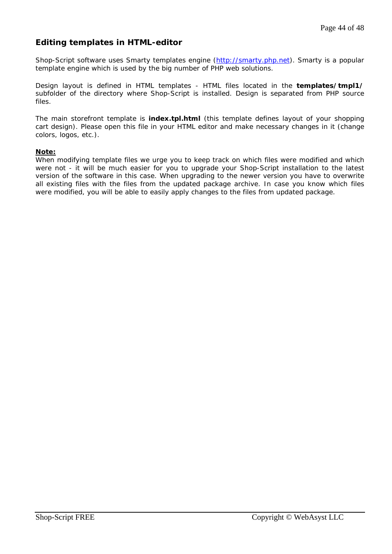# **Editing templates in HTML-editor**

Shop-Script software uses Smarty templates engine (http://smarty.php.net). Smarty is a popular template engine which is used by the big number of PHP web solutions.

Design layout is defined in HTML templates - HTML files located in the **templates/tmpl1/** subfolder of the directory where Shop-Script is installed. Design is separated from PHP source files.

The main storefront template is **index.tpl.html** (this template defines layout of your shopping cart design). Please open this file in your HTML editor and make necessary changes in it (change colors, logos, etc.).

## **Note:**

When modifying template files we urge you to keep track on which files were modified and which were not - it will be much easier for you to upgrade your Shop-Script installation to the latest version of the software in this case. When upgrading to the newer version you have to overwrite all existing files with the files from the updated package archive. In case you know which files were modified, you will be able to easily apply changes to the files from updated package.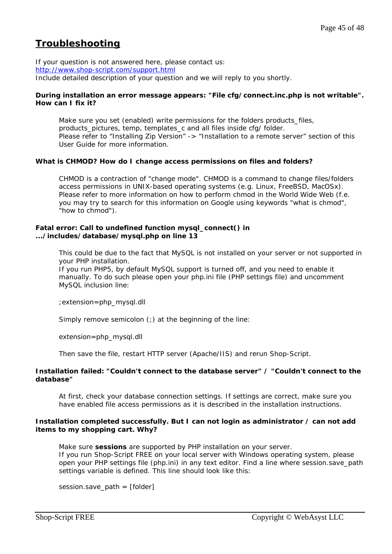# **Troubleshooting**

If your question is not answered here, please contact us: http://www.shop-script.com/support.html Include detailed description of your question and we will reply to you shortly.

### **During installation an error message appears: "File cfg/connect.inc.php is not writable". How can I fix it?**

Make sure you set (enabled) write permissions for the folders *products\_files,*  products\_pictures*, temp,* templates\_*c* and *all files inside cfg/ folder*. Please refer to "Installing Zip Version" -> "Installation to a remote server" section of this User Guide for more information.

## **What is CHMOD? How do I change access permissions on files and folders?**

CHMOD is a contraction of "change mode". CHMOD is a command to change files/folders access permissions in UNIX-based operating systems (e.g. Linux, FreeBSD, MacOSx). Please refer to more information on how to perform chmod in the World Wide Web (f.e. you may try to search for this information on Google using keywords "what is chmod", "how to chmod").

#### **Fatal error: Call to undefined function mysql\_connect() in .../includes/database/mysql.php on line 13**

This could be due to the fact that MySQL is not installed on your server or not supported in your PHP installation.

If you run PHP5, by default MySQL support is turned off, and you need to enable it manually. To do such please open your php.ini file (PHP settings file) and uncomment MySQL inclusion line:

;extension=php\_mysql.dll

Simply remove semicolon (;) at the beginning of the line:

extension=php\_mysql.dll

Then save the file, restart HTTP server (Apache/IIS) and rerun Shop-Script.

#### **Installation failed: "Couldn't connect to the database server" / "Couldn't connect to the database"**

At first, check your database connection settings. If settings are correct, make sure you have enabled file access permissions as it is described in the installation instructions.

## **Installation completed successfully. But I can not login as administrator / can not add items to my shopping cart. Why?**

Make sure **sessions** are supported by PHP installation on your server. If you run Shop-Script FREE on your local server with Windows operating system, please open your PHP settings file (php.ini) in any text editor. Find a line where session.save\_path settings variable is defined. This line should look like this:

session.save\_path = [folder]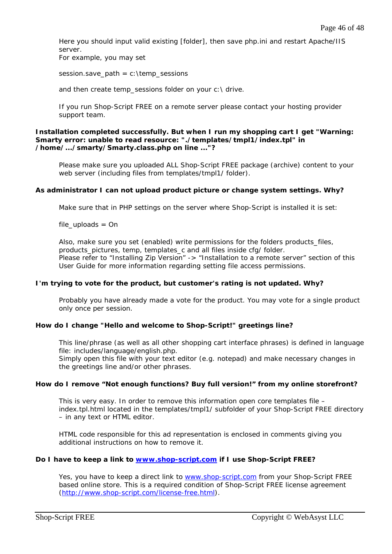Here you should input valid existing [folder], then save php.ini and restart Apache/IIS server.

For example, you may set

session.save\_path =  $c$ : \temp\_sessions

and then create temp\_sessions folder on your c: \ drive.

If you run Shop-Script FREE on a remote server please contact your hosting provider support team.

#### **Installation completed successfully. But when I run my shopping cart I get "Warning: Smarty error: unable to read resource: "./templates/tmpl1/index.tpl" in /home/.../smarty/Smarty.class.php on line ..."?**

Please make sure you uploaded ALL Shop-Script FREE package (archive) content to your web server (including files from templates/tmpl1/ folder).

#### **As administrator I can not upload product picture or change system settings. Why?**

Make sure that in PHP settings on the server where Shop-Script is installed it is set:

*file\_uploads = On* 

Also, make sure you set (enabled) write permissions for the folders *products\_files,*  products\_pictures*, temp,* templates\_*c* and *all files inside cfg/ folder*. Please refer to "Installing Zip Version" -> "Installation to a remote server" section of this User Guide for more information regarding setting file access permissions.

#### **I'm trying to vote for the product, but customer's rating is not updated. Why?**

Probably you have already made a vote for the product. You may vote for a single product only once per session.

#### **How do I change "Hello and welcome to Shop-Script!" greetings line?**

This line/phrase (as well as all other shopping cart interface phrases) is defined in language file: *includes/language/english.php*.

Simply open this file with your text editor (e.g. notepad) and make necessary changes in the greetings line and/or other phrases.

#### **How do I remove "Not enough functions? Buy full version!" from my online storefront?**

This is very easy. In order to remove this information open core templates file – index.tpl.html located in the templates/tmpl1/ subfolder of your Shop-Script FREE directory – in any text or HTML editor.

HTML code responsible for this ad representation is enclosed in comments giving you additional instructions on how to remove it.

### **Do I have to keep a link to www.shop-script.com if I use Shop-Script FREE?**

Yes, you have to keep a direct link to www.shop-script.com from your Shop-Script FREE based online store. This is a required condition of Shop-Script FREE license agreement (http://www.shop-script.com/license-free.html).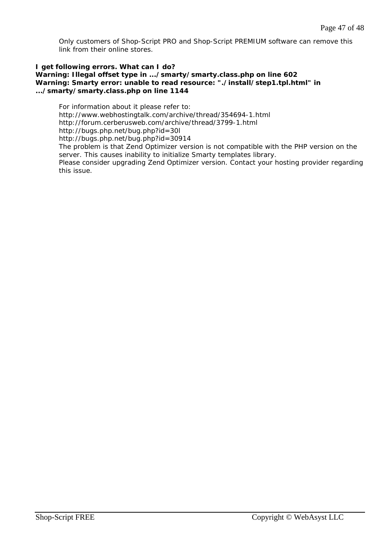Only customers of Shop-Script PRO and Shop-Script PREMIUM software can remove this link from their online stores.

#### **I get following errors. What can I do? Warning: Illegal offset type in .../smarty/smarty.class.php on line 602 Warning: Smarty error: unable to read resource: "./install/step1.tpl.html" in .../smarty/smarty.class.php on line 1144**

For information about it please refer to: http://www.webhostingtalk.com/archive/thread/354694-1.html http://forum.cerberusweb.com/archive/thread/3799-1.html http://bugs.php.net/bug.php?id=30l http://bugs.php.net/bug.php?id=30914 The problem is that Zend Optimizer version is not compatible with the PHP version on the server. This causes inability to initialize Smarty templates library. Please consider upgrading Zend Optimizer version. Contact your hosting provider regarding this issue.